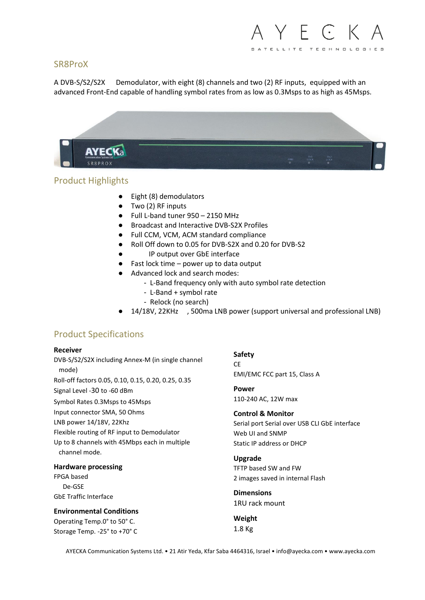## SR8ProX

A DVB-S/S2/S2X Demodulator, with eight (8) channels and two (2) RF inputs, equipped with an advanced Front-End capable of handling symbol rates from as low as 0.3Msps to as high as 45Msps.



# Product Highlights

- Eight (8) demodulators
- Two (2) RF inputs
- $\bullet$  Full L-band tuner 950 2150 MHz
- Broadcast and Interactive DVB-S2X Profiles
- Full CCM, VCM, ACM standard compliance
- Roll Off down to 0.05 for DVB-S2X and 0.20 for DVB-S2
- IP output over GbE interface
- $\bullet$  Fast lock time power up to data output
- Advanced lock and search modes:
	- L-Band frequency only with auto symbol rate detection
	- L-Band + symbol rate
	- Relock (no search)
- 14/18V, 22KHz , 500ma LNB power (support universal and professional LNB)

# Product Specifications

### **Receiver**

DVB-S/S2/S2X including Annex-M (in single channel mode) Roll-off factors 0.05, 0.10, 0.15, 0.20, 0.25, 0.35 Signal Level -30 to -60 dBm Symbol Rates 0.3Msps to 45Msps Input connector SMA, 50 Ohms LNB power 14/18V, 22Khz Flexible routing of RF input to Demodulator Up to 8 channels with 45Mbps each in multiple channel mode.

### **Hardware processing**

FPGA based De-GSE GbE Traffic Interface

**Environmental Conditions** Operating Temp.0° to 50° C. Storage Temp. -25° to +70° C

**Safety** CE EMI/EMC FCC part 15, Class A

**Power** 110-240 AC, 12W max

**Control & Monitor** Serial port Serial over USB CLI GbE interface Web UI and SNMP Static IP address or DHCP

**Upgrade** TFTP based SW and FW 2 images saved in internal Flash

**Dimensions** 1RU rack mount

**Weight** 1.8 Kg